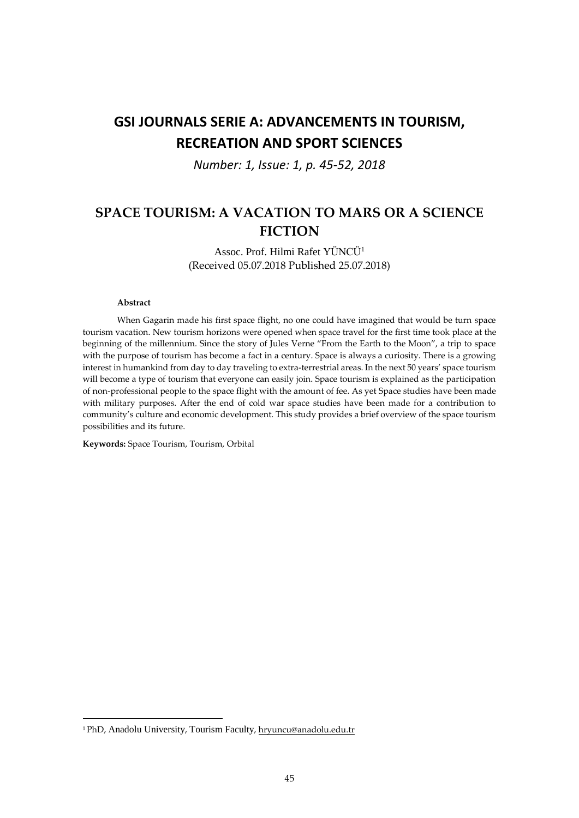# **GSI JOURNALS SERIE A: ADVANCEMENTS IN TOURISM, RECREATION AND SPORT SCIENCES**

*Number: 1, Issue: 1, p. 45-52, 2018*

## **SPACE TOURISM: A VACATION TO MARS OR A SCIENCE FICTION**

Assoc. Prof. Hilmi Rafet YÜNCÜ<sup>1</sup> (Received 05.07.2018 Published 25.07.2018)

#### **Abstract**

1

When Gagarin made his first space flight, no one could have imagined that would be turn space tourism vacation. New tourism horizons were opened when space travel for the first time took place at the beginning of the millennium. Since the story of Jules Verne "From the Earth to the Moon", a trip to space with the purpose of tourism has become a fact in a century. Space is always a curiosity. There is a growing interest in humankind from day to day traveling to extra-terrestrial areas. In the next 50 years' space tourism will become a type of tourism that everyone can easily join. Space tourism is explained as the participation of non-professional people to the space flight with the amount of fee. As yet Space studies have been made with military purposes. After the end of cold war space studies have been made for a contribution to community's culture and economic development. This study provides a brief overview of the space tourism possibilities and its future.

**Keywords:** Space Tourism, Tourism, Orbital

<sup>1</sup> PhD, Anadolu University, Tourism Faculty, hryuncu@anadolu.edu.tr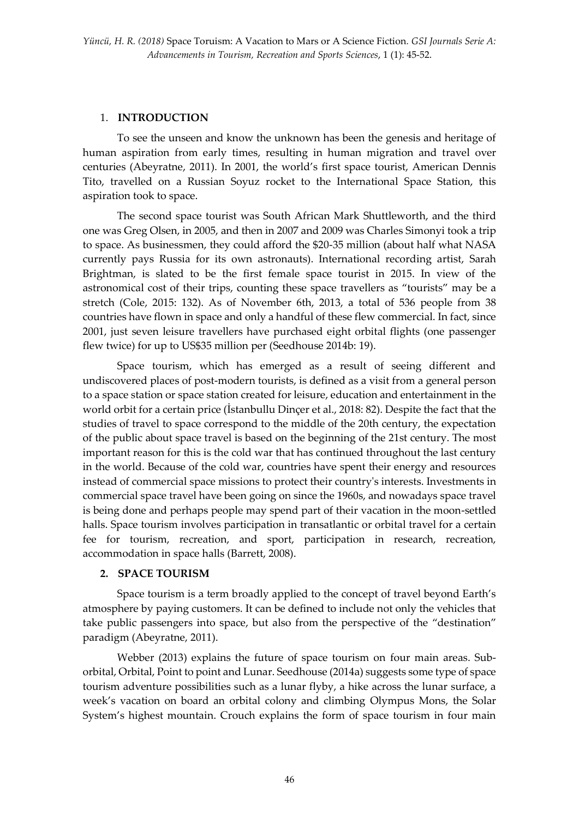## 1. **INTRODUCTION**

To see the unseen and know the unknown has been the genesis and heritage of human aspiration from early times, resulting in human migration and travel over centuries (Abeyratne, 2011). In 2001, the world's first space tourist, American Dennis Tito, travelled on a Russian Soyuz rocket to the International Space Station, this aspiration took to space.

The second space tourist was South African Mark Shuttleworth, and the third one was Greg Olsen, in 2005, and then in 2007 and 2009 was Charles Simonyi took a trip to space. As businessmen, they could afford the \$20-35 million (about half what NASA currently pays Russia for its own astronauts). International recording artist, Sarah Brightman, is slated to be the first female space tourist in 2015. In view of the astronomical cost of their trips, counting these space travellers as "tourists" may be a stretch (Cole, 2015: 132). As of November 6th, 2013, a total of 536 people from 38 countries have flown in space and only a handful of these flew commercial. In fact, since 2001, just seven leisure travellers have purchased eight orbital flights (one passenger flew twice) for up to US\$35 million per (Seedhouse 2014b: 19).

Space tourism, which has emerged as a result of seeing different and undiscovered places of post-modern tourists, is defined as a visit from a general person to a space station or space station created for leisure, education and entertainment in the world orbit for a certain price (İstanbullu Dinçer et al., 2018: 82). Despite the fact that the studies of travel to space correspond to the middle of the 20th century, the expectation of the public about space travel is based on the beginning of the 21st century. The most important reason for this is the cold war that has continued throughout the last century in the world. Because of the cold war, countries have spent their energy and resources instead of commercial space missions to protect their country's interests. Investments in commercial space travel have been going on since the 1960s, and nowadays space travel is being done and perhaps people may spend part of their vacation in the moon-settled halls. Space tourism involves participation in transatlantic or orbital travel for a certain fee for tourism, recreation, and sport, participation in research, recreation, accommodation in space halls (Barrett, 2008).

## **2. SPACE TOURISM**

Space tourism is a term broadly applied to the concept of travel beyond Earth's atmosphere by paying customers. It can be defined to include not only the vehicles that take public passengers into space, but also from the perspective of the "destination" paradigm (Abeyratne, 2011).

Webber (2013) explains the future of space tourism on four main areas. Suborbital, Orbital, Point to point and Lunar. Seedhouse (2014a) suggests some type of space tourism adventure possibilities such as a lunar flyby, a hike across the lunar surface, a week's vacation on board an orbital colony and climbing Olympus Mons, the Solar System's highest mountain. Crouch explains the form of space tourism in four main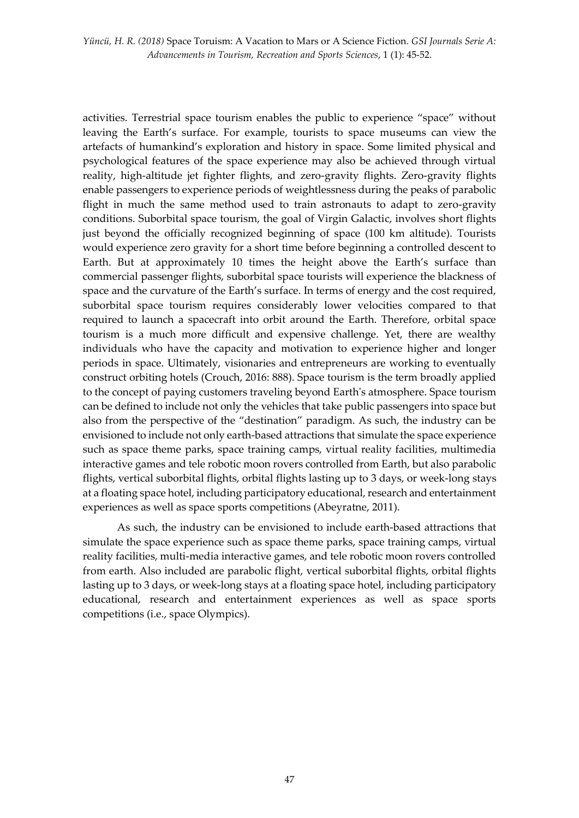*Yüncü, H. R. (2018)* Space Toruism: A Vacation to Mars or A Science Fiction*. GSI Journals Serie A: Advancements in Tourism, Recreation and Sports Sciences*, 1 (1): 45-52.

activities. Terrestrial space tourism enables the public to experience "space" without leaving the Earth's surface. For example, tourists to space museums can view the artefacts of humankind's exploration and history in space. Some limited physical and psychological features of the space experience may also be achieved through virtual reality, high-altitude jet fighter flights, and zero-gravity flights. Zero-gravity flights enable passengers to experience periods of weightlessness during the peaks of parabolic flight in much the same method used to train astronauts to adapt to zero-gravity conditions. Suborbital space tourism, the goal of Virgin Galactic, involves short flights just beyond the officially recognized beginning of space (100 km altitude). Tourists would experience zero gravity for a short time before beginning a controlled descent to Earth. But at approximately 10 times the height above the Earth's surface than commercial passenger flights, suborbital space tourists will experience the blackness of space and the curvature of the Earth's surface. In terms of energy and the cost required, suborbital space tourism requires considerably lower velocities compared to that required to launch a spacecraft into orbit around the Earth. Therefore, orbital space tourism is a much more difficult and expensive challenge. Yet, there are wealthy individuals who have the capacity and motivation to experience higher and longer periods in space. Ultimately, visionaries and entrepreneurs are working to eventually construct orbiting hotels (Crouch, 2016: 888). Space tourism is the term broadly applied to the concept of paying customers traveling beyond Earth's atmosphere. Space tourism can be defined to include not only the vehicles that take public passengers into space but also from the perspective of the "destination" paradigm. As such, the industry can be envisioned to include not only earth-based attractions that simulate the space experience such as space theme parks, space training camps, virtual reality facilities, multimedia interactive games and tele robotic moon rovers controlled from Earth, but also parabolic flights, vertical suborbital flights, orbital flights lasting up to 3 days, or week-long stays at a floating space hotel, including participatory educational, research and entertainment experiences as well as space sports competitions (Abeyratne, 2011).

As such, the industry can be envisioned to include earth-based attractions that simulate the space experience such as space theme parks, space training camps, virtual reality facilities, multi-media interactive games, and tele robotic moon rovers controlled from earth. Also included are parabolic flight, vertical suborbital flights, orbital flights lasting up to 3 days, or week-long stays at a floating space hotel, including participatory educational, research and entertainment experiences as well as space sports competitions (i.e., space Olympics).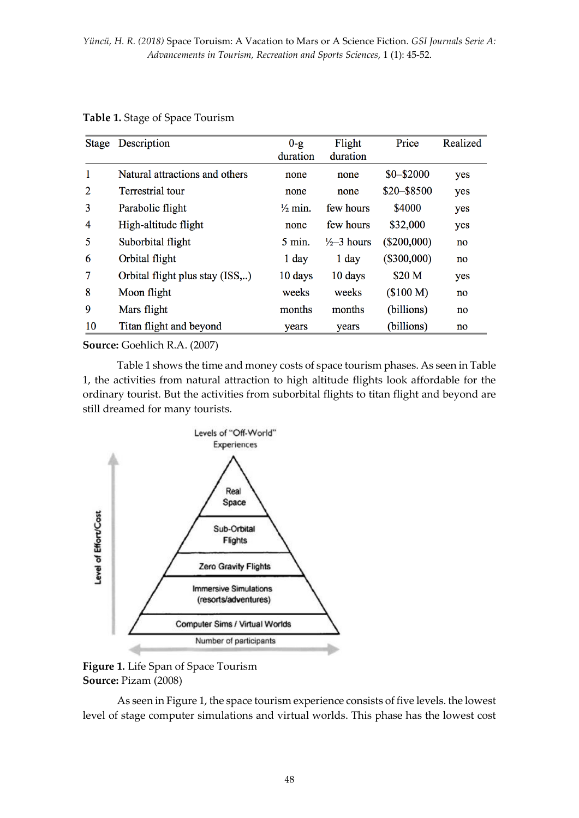| <b>Stage</b> | Description                     | $0-g$              | Flight                 | Price         | Realized |
|--------------|---------------------------------|--------------------|------------------------|---------------|----------|
|              |                                 | duration           | duration               |               |          |
| 1            | Natural attractions and others  | none               | none                   | $$0 - $2000$  | yes      |
| 2            | <b>Terrestrial</b> tour         | none               | none                   | \$20-\$8500   | yes      |
| 3            | Parabolic flight                | $\frac{1}{2}$ min. | few hours              | \$4000        | yes      |
| 4            | High-altitude flight            | none               | few hours              | \$32,000      | yes      |
| 5            | Suborbital flight               | $5 \text{ min.}$   | $\frac{1}{2}$ -3 hours | $(\$200,000)$ | no       |
| 6            | Orbital flight                  | $1$ day            | $1$ day                | $(\$300,000)$ | no       |
| 7            | Orbital flight plus stay (ISS,) | 10 days            | 10 days                | \$20 M        | yes      |
| 8            | Moon flight                     | weeks              | weeks                  | (\$100 M)     | no       |
| 9            | Mars flight                     | months             | months                 | (billions)    | no       |
| 10           | Titan flight and beyond         | years              | years                  | (billions)    | no       |

### **Table 1.** Stage of Space Tourism

**Source:** Goehlich R.A. (2007)

Table 1 shows the time and money costs of space tourism phases. As seen in Table 1, the activities from natural attraction to high altitude flights look affordable for the ordinary tourist. But the activities from suborbital flights to titan flight and beyond are still dreamed for many tourists.



## **Figure 1.** Life Span of Space Tourism **Source:** Pizam (2008)

As seen in Figure 1, the space tourism experience consists of five levels. the lowest level of stage computer simulations and virtual worlds. This phase has the lowest cost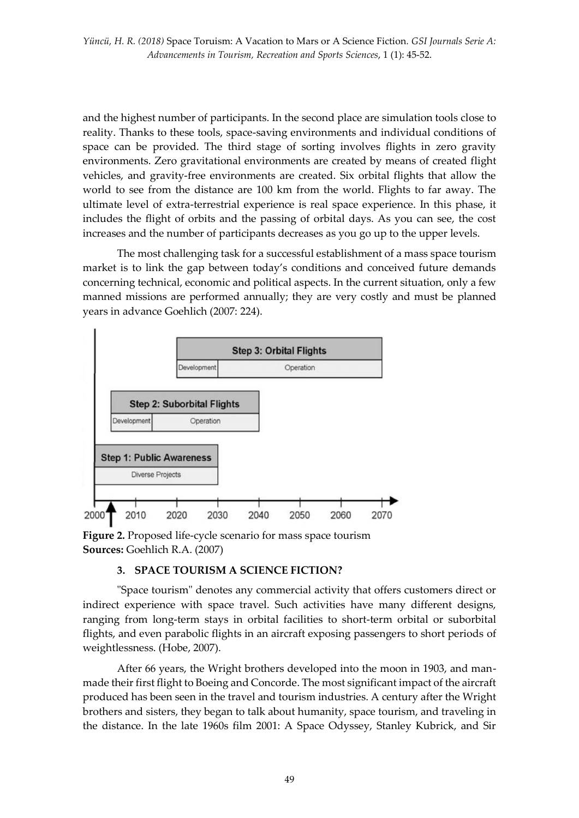and the highest number of participants. In the second place are simulation tools close to reality. Thanks to these tools, space-saving environments and individual conditions of space can be provided. The third stage of sorting involves flights in zero gravity environments. Zero gravitational environments are created by means of created flight vehicles, and gravity-free environments are created. Six orbital flights that allow the world to see from the distance are 100 km from the world. Flights to far away. The ultimate level of extra-terrestrial experience is real space experience. In this phase, it includes the flight of orbits and the passing of orbital days. As you can see, the cost increases and the number of participants decreases as you go up to the upper levels.

The most challenging task for a successful establishment of a mass space tourism market is to link the gap between today's conditions and conceived future demands concerning technical, economic and political aspects. In the current situation, only a few manned missions are performed annually; they are very costly and must be planned years in advance Goehlich (2007: 224).



**Figure 2.** Proposed life-cycle scenario for mass space tourism **Sources:** Goehlich R.A. (2007)

## **3. SPACE TOURISM A SCIENCE FICTION?**

"Space tourism" denotes any commercial activity that offers customers direct or indirect experience with space travel. Such activities have many different designs, ranging from long-term stays in orbital facilities to short-term orbital or suborbital flights, and even parabolic flights in an aircraft exposing passengers to short periods of weightlessness. (Hobe, 2007).

After 66 years, the Wright brothers developed into the moon in 1903, and manmade their first flight to Boeing and Concorde. The most significant impact of the aircraft produced has been seen in the travel and tourism industries. A century after the Wright brothers and sisters, they began to talk about humanity, space tourism, and traveling in the distance. In the late 1960s film 2001: A Space Odyssey, Stanley Kubrick, and Sir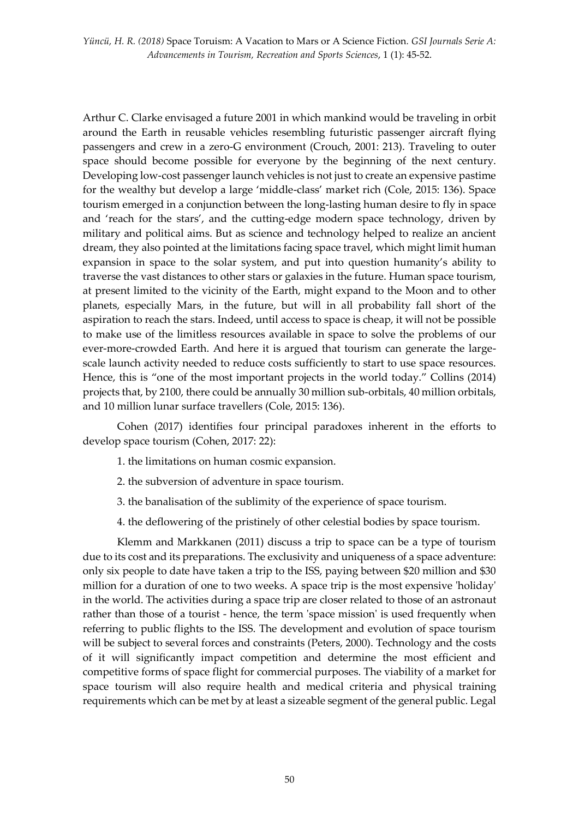*Yüncü, H. R. (2018)* Space Toruism: A Vacation to Mars or A Science Fiction*. GSI Journals Serie A: Advancements in Tourism, Recreation and Sports Sciences*, 1 (1): 45-52.

Arthur C. Clarke envisaged a future 2001 in which mankind would be traveling in orbit around the Earth in reusable vehicles resembling futuristic passenger aircraft flying passengers and crew in a zero-G environment (Crouch, 2001: 213). Traveling to outer space should become possible for everyone by the beginning of the next century. Developing low-cost passenger launch vehicles is not just to create an expensive pastime for the wealthy but develop a large 'middle-class' market rich (Cole, 2015: 136). Space tourism emerged in a conjunction between the long-lasting human desire to fly in space and 'reach for the stars', and the cutting-edge modern space technology, driven by military and political aims. But as science and technology helped to realize an ancient dream, they also pointed at the limitations facing space travel, which might limit human expansion in space to the solar system, and put into question humanity's ability to traverse the vast distances to other stars or galaxies in the future. Human space tourism, at present limited to the vicinity of the Earth, might expand to the Moon and to other planets, especially Mars, in the future, but will in all probability fall short of the aspiration to reach the stars. Indeed, until access to space is cheap, it will not be possible to make use of the limitless resources available in space to solve the problems of our ever-more-crowded Earth. And here it is argued that tourism can generate the largescale launch activity needed to reduce costs sufficiently to start to use space resources. Hence, this is "one of the most important projects in the world today." Collins (2014) projects that, by 2100, there could be annually 30 million sub-orbitals, 40 million orbitals, and 10 million lunar surface travellers (Cole, 2015: 136).

Cohen (2017) identifies four principal paradoxes inherent in the efforts to develop space tourism (Cohen, 2017: 22):

- 1. the limitations on human cosmic expansion.
- 2. the subversion of adventure in space tourism.
- 3. the banalisation of the sublimity of the experience of space tourism.
- 4. the deflowering of the pristinely of other celestial bodies by space tourism.

Klemm and Markkanen (2011) discuss a trip to space can be a type of tourism due to its cost and its preparations. The exclusivity and uniqueness of a space adventure: only six people to date have taken a trip to the ISS, paying between \$20 million and \$30 million for a duration of one to two weeks. A space trip is the most expensive 'holiday' in the world. The activities during a space trip are closer related to those of an astronaut rather than those of a tourist - hence, the term 'space mission' is used frequently when referring to public flights to the ISS. The development and evolution of space tourism will be subject to several forces and constraints (Peters, 2000). Technology and the costs of it will significantly impact competition and determine the most efficient and competitive forms of space flight for commercial purposes. The viability of a market for space tourism will also require health and medical criteria and physical training requirements which can be met by at least a sizeable segment of the general public. Legal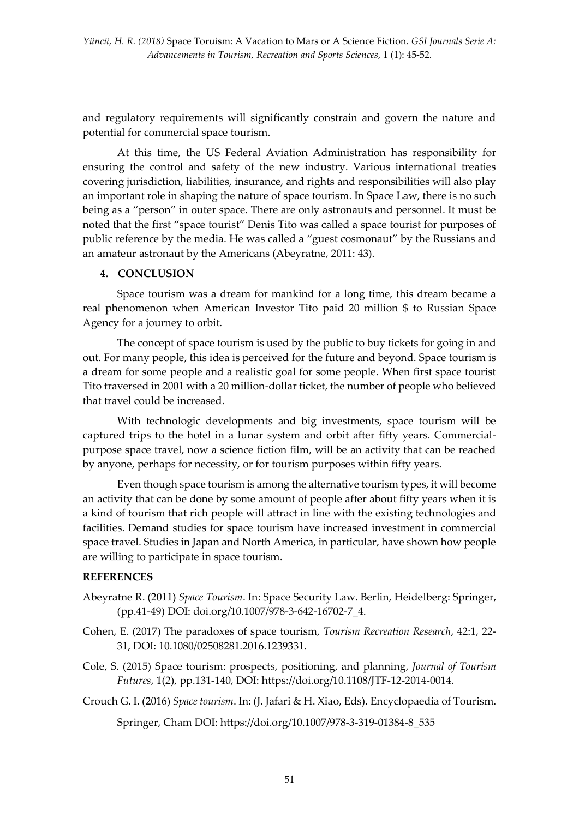and regulatory requirements will significantly constrain and govern the nature and potential for commercial space tourism.

At this time, the US Federal Aviation Administration has responsibility for ensuring the control and safety of the new industry. Various international treaties covering jurisdiction, liabilities, insurance, and rights and responsibilities will also play an important role in shaping the nature of space tourism. In Space Law, there is no such being as a "person" in outer space. There are only astronauts and personnel. It must be noted that the first "space tourist" Denis Tito was called a space tourist for purposes of public reference by the media. He was called a "guest cosmonaut" by the Russians and an amateur astronaut by the Americans (Abeyratne, 2011: 43).

## **4. CONCLUSION**

Space tourism was a dream for mankind for a long time, this dream became a real phenomenon when American Investor Tito paid 20 million \$ to Russian Space Agency for a journey to orbit.

The concept of space tourism is used by the public to buy tickets for going in and out. For many people, this idea is perceived for the future and beyond. Space tourism is a dream for some people and a realistic goal for some people. When first space tourist Tito traversed in 2001 with a 20 million-dollar ticket, the number of people who believed that travel could be increased.

With technologic developments and big investments, space tourism will be captured trips to the hotel in a lunar system and orbit after fifty years. Commercialpurpose space travel, now a science fiction film, will be an activity that can be reached by anyone, perhaps for necessity, or for tourism purposes within fifty years.

Even though space tourism is among the alternative tourism types, it will become an activity that can be done by some amount of people after about fifty years when it is a kind of tourism that rich people will attract in line with the existing technologies and facilities. Demand studies for space tourism have increased investment in commercial space travel. Studies in Japan and North America, in particular, have shown how people are willing to participate in space tourism.

## **REFERENCES**

- Abeyratne R. (2011) *Space Tourism*. In: Space Security Law. Berlin, Heidelberg: Springer, (pp.41-49) DOI: doi.org/10.1007/978-3-642-16702-7\_4.
- Cohen, E. (2017) The paradoxes of space tourism, *Tourism Recreation Research*, 42:1, 22- 31, DOI: 10.1080/02508281.2016.1239331.
- Cole, S. (2015) Space tourism: prospects, positioning, and planning, *Journal of Tourism Futures*, 1(2), pp.131-140, DOI: https://doi.org/10.1108/JTF-12-2014-0014.

Crouch G. I. (2016) *Space tourism*. In: (J. Jafari & H. Xiao, Eds). Encyclopaedia of Tourism.

Springer, Cham DOI: https://doi.org/10.1007/978-3-319-01384-8\_535